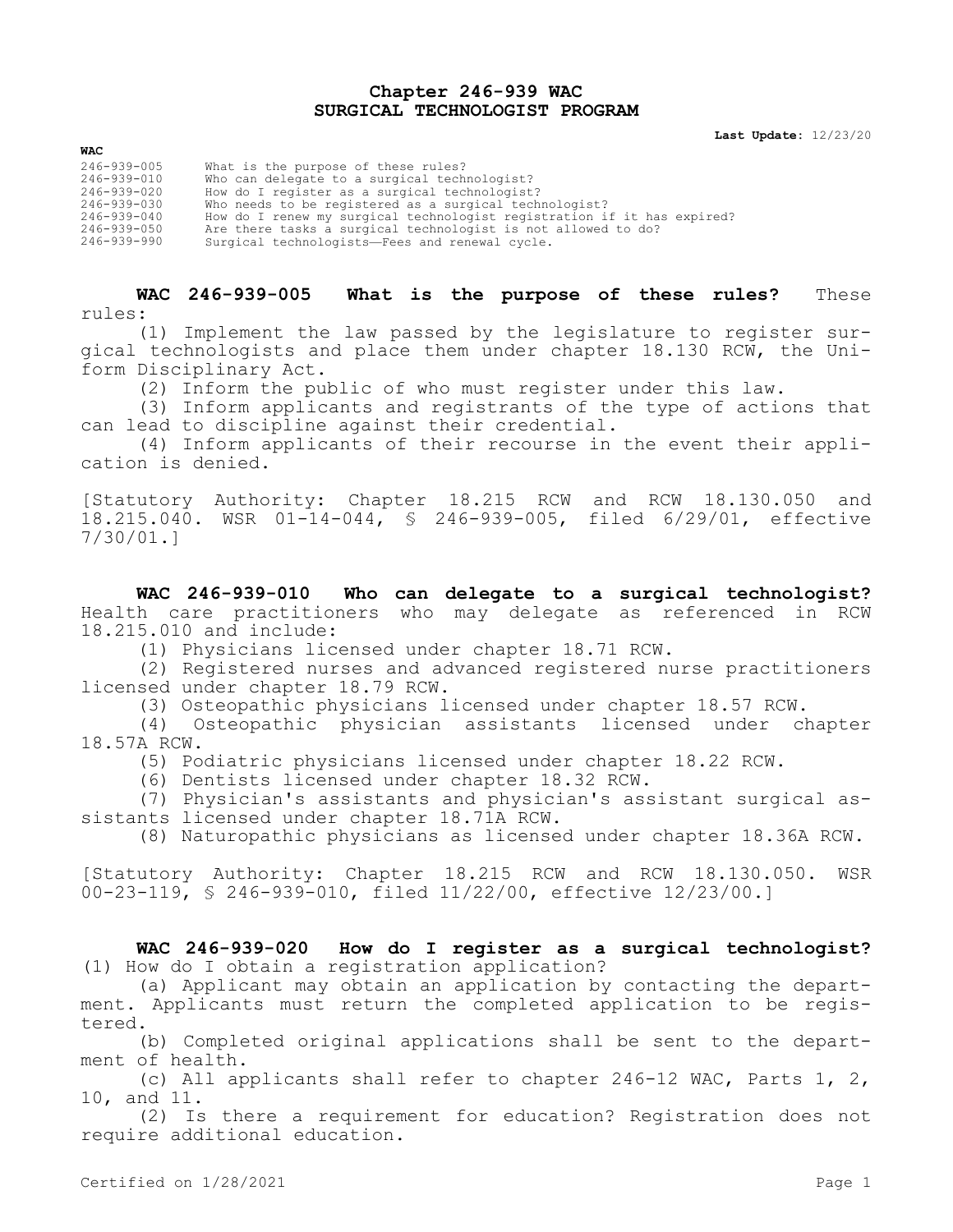## **Chapter 246-939 WAC SURGICAL TECHNOLOGIST PROGRAM**

**Last Update:** 12/23/20

| WAC               |                                                                         |
|-------------------|-------------------------------------------------------------------------|
| $246 - 939 - 005$ | What is the purpose of these rules?                                     |
| 246-939-010       | Who can delegate to a surgical technologist?                            |
| 246-939-020       | How do I register as a surgical technologist?                           |
| 246-939-030       | Who needs to be registered as a surgical technologist?                  |
| 246-939-040       | How do I renew my surgical technologist registration if it has expired? |
| 246-939-050       | Are there tasks a surgical technologist is not allowed to do?           |
| 246-939-990       | Surgical technologists-Fees and renewal cycle.                          |

**WAC 246-939-005 What is the purpose of these rules?** These rules:

(1) Implement the law passed by the legislature to register surgical technologists and place them under chapter 18.130 RCW, the Uniform Disciplinary Act.

(2) Inform the public of who must register under this law.

(3) Inform applicants and registrants of the type of actions that can lead to discipline against their credential.

(4) Inform applicants of their recourse in the event their application is denied.

[Statutory Authority: Chapter 18.215 RCW and RCW 18.130.050 and 18.215.040. WSR 01-14-044, § 246-939-005, filed 6/29/01, effective 7/30/01.]

**WAC 246-939-010 Who can delegate to a surgical technologist?**  Health care practitioners who may delegate as referenced in RCW 18.215.010 and include:

(1) Physicians licensed under chapter 18.71 RCW.

(2) Registered nurses and advanced registered nurse practitioners licensed under chapter 18.79 RCW.

(3) Osteopathic physicians licensed under chapter 18.57 RCW.

(4) Osteopathic physician assistants licensed under chapter 18.57A RCW.

(5) Podiatric physicians licensed under chapter 18.22 RCW.

(6) Dentists licensed under chapter 18.32 RCW.

(7) Physician's assistants and physician's assistant surgical assistants licensed under chapter 18.71A RCW.

(8) Naturopathic physicians as licensed under chapter 18.36A RCW.

[Statutory Authority: Chapter 18.215 RCW and RCW 18.130.050. WSR 00-23-119, § 246-939-010, filed 11/22/00, effective 12/23/00.]

**WAC 246-939-020 How do I register as a surgical technologist?**  (1) How do I obtain a registration application?

(a) Applicant may obtain an application by contacting the department. Applicants must return the completed application to be registered.

(b) Completed original applications shall be sent to the department of health.

(c) All applicants shall refer to chapter 246-12 WAC, Parts 1, 2, 10, and 11.

(2) Is there a requirement for education? Registration does not require additional education.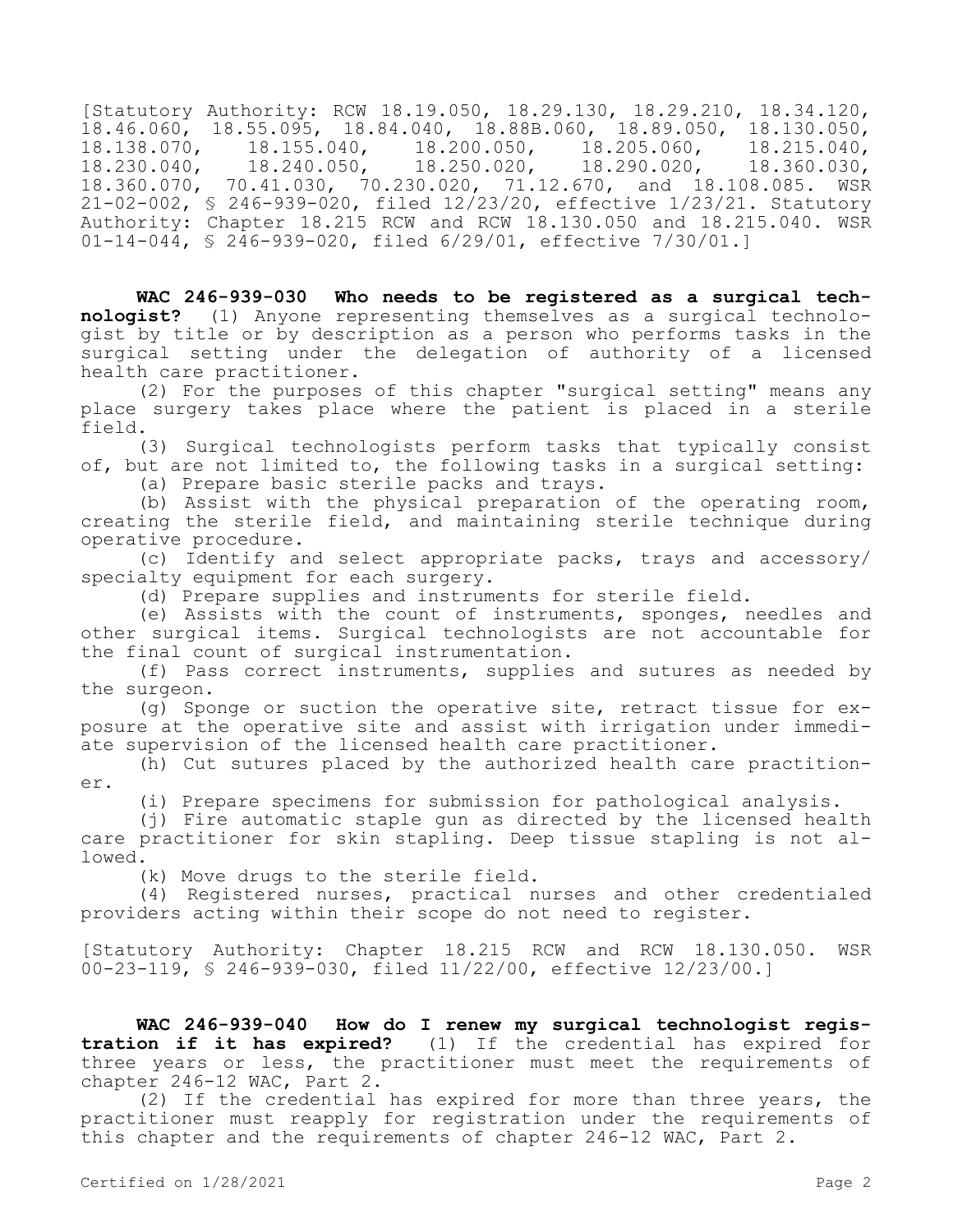[Statutory Authority: RCW 18.19.050, 18.29.130, 18.29.210, 18.34.120, 18.46.060, 18.55.095, 18.84.040, 18.88B.060, 18.89.050, 18.130.050,<br>18.138.070, 18.155.040, 18.200.050, 18.205.060, 18.215.040, 18.138.070, 18.155.040, 18.200.050, 18.205.060, 18.215.040, 18.230.040, 18.240.050, 18.250.020, 18.290.020, 18.360.030, 18.360.070, 70.41.030, 70.230.020, 71.12.670, and 18.108.085. WSR 21-02-002, § 246-939-020, filed 12/23/20, effective 1/23/21. Statutory Authority: Chapter 18.215 RCW and RCW 18.130.050 and 18.215.040. WSR 01-14-044, § 246-939-020, filed 6/29/01, effective 7/30/01.]

**WAC 246-939-030 Who needs to be registered as a surgical technologist?** (1) Anyone representing themselves as a surgical technologist by title or by description as a person who performs tasks in the surgical setting under the delegation of authority of a licensed health care practitioner.

(2) For the purposes of this chapter "surgical setting" means any place surgery takes place where the patient is placed in a sterile field.

(3) Surgical technologists perform tasks that typically consist of, but are not limited to, the following tasks in a surgical setting:

(a) Prepare basic sterile packs and trays.

(b) Assist with the physical preparation of the operating room, creating the sterile field, and maintaining sterile technique during operative procedure.

(c) Identify and select appropriate packs, trays and accessory/ specialty equipment for each surgery.

(d) Prepare supplies and instruments for sterile field.

(e) Assists with the count of instruments, sponges, needles and other surgical items. Surgical technologists are not accountable for the final count of surgical instrumentation.

(f) Pass correct instruments, supplies and sutures as needed by the surgeon.

(g) Sponge or suction the operative site, retract tissue for exposure at the operative site and assist with irrigation under immediate supervision of the licensed health care practitioner.

(h) Cut sutures placed by the authorized health care practitioner.

(i) Prepare specimens for submission for pathological analysis.

(j) Fire automatic staple gun as directed by the licensed health care practitioner for skin stapling. Deep tissue stapling is not allowed.

(k) Move drugs to the sterile field.

(4) Registered nurses, practical nurses and other credentialed providers acting within their scope do not need to register.

[Statutory Authority: Chapter 18.215 RCW and RCW 18.130.050. WSR 00-23-119, § 246-939-030, filed 11/22/00, effective 12/23/00.]

**WAC 246-939-040 How do I renew my surgical technologist registration if it has expired?** (1) If the credential has expired for three years or less, the practitioner must meet the requirements of chapter 246-12 WAC, Part 2.

(2) If the credential has expired for more than three years, the practitioner must reapply for registration under the requirements of this chapter and the requirements of chapter 246-12 WAC, Part 2.